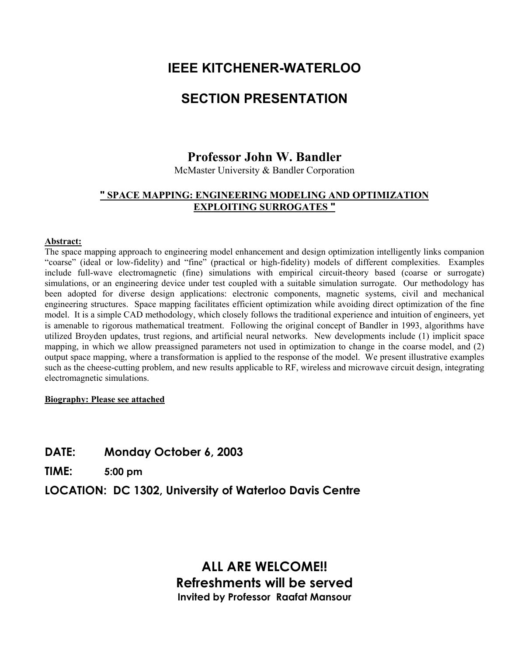## **IEEE KITCHENER-WATERLOO**

# **SECTION PRESENTATION**

### **Professor John W. Bandler**

McMaster University & Bandler Corporation

### **" SPACE MAPPING: ENGINEERING MODELING AND OPTIMIZATION EXPLOITING SURROGATES "**

#### **Abstract:**

The space mapping approach to engineering model enhancement and design optimization intelligently links companion "coarse" (ideal or low-fidelity) and "fine" (practical or high-fidelity) models of different complexities. Examples include full-wave electromagnetic (fine) simulations with empirical circuit-theory based (coarse or surrogate) simulations, or an engineering device under test coupled with a suitable simulation surrogate. Our methodology has been adopted for diverse design applications: electronic components, magnetic systems, civil and mechanical engineering structures. Space mapping facilitates efficient optimization while avoiding direct optimization of the fine model. It is a simple CAD methodology, which closely follows the traditional experience and intuition of engineers, yet is amenable to rigorous mathematical treatment. Following the original concept of Bandler in 1993, algorithms have utilized Broyden updates, trust regions, and artificial neural networks. New developments include (1) implicit space mapping, in which we allow preassigned parameters not used in optimization to change in the coarse model, and (2) output space mapping, where a transformation is applied to the response of the model. We present illustrative examples such as the cheese-cutting problem, and new results applicable to RF, wireless and microwave circuit design, integrating electromagnetic simulations.

#### **Biography: Please see attached**

### **DATE: Monday October 6, 2003**

**TIME: 5:00 pm**

**LOCATION: DC 1302, University of Waterloo Davis Centre** 

## **ALL ARE WELCOME!! Refreshments will be served Invited by Professor Raafat Mansour**